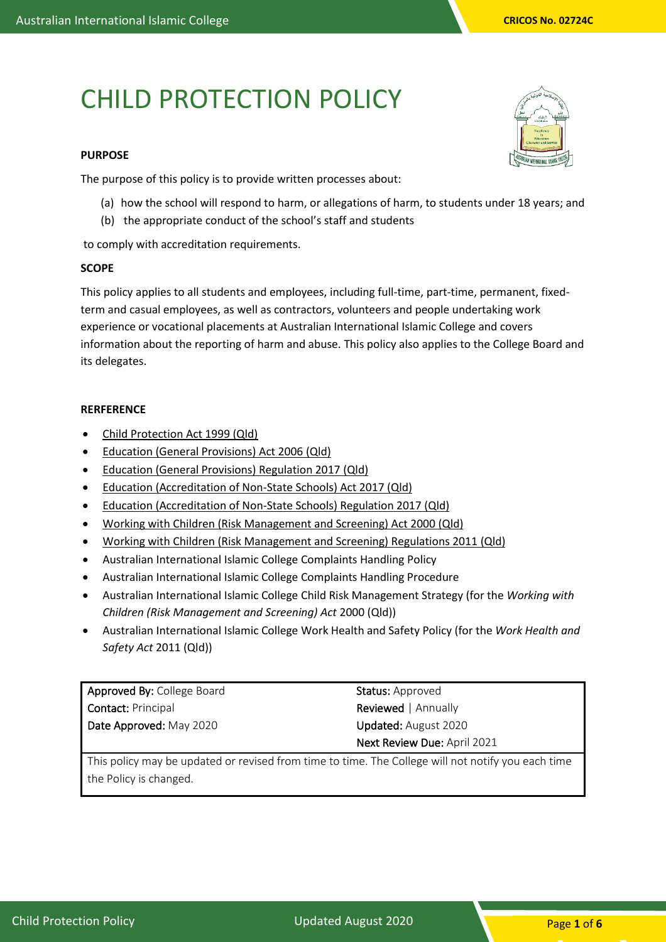# CHILD PROTECTION POLICY

#### **PURPOSE**

The purpose of this policy is to provide written processes about:

- (a) how the school will respond to harm, or allegations of harm, to students under 18 years; and
- (b) the appropriate conduct of the school's staff and students

to comply with accreditation requirements.

#### **SCOPE**

This policy applies to all students and employees, including full-time, part-time, permanent, fixedterm and casual employees, as well as contractors, volunteers and people undertaking work experience or vocational placements at Australian International Islamic College and covers information about the reporting of harm and abuse. This policy also applies to the College Board and its delegates.

#### **RERFERENCE**

- [Child Protection Act 1999 \(Qld\)](https://www.legislation.qld.gov.au/view/html/inforce/current/act-1999-010)
- [Education \(General Provisions\) Act 2006 \(Qld\)](https://www.legislation.qld.gov.au/view/html/inforce/current/act-2006-039)
- [Education \(General Provisions\) Regulation 2017 \(Qld\)](https://www.legislation.qld.gov.au/view/html/inforce/current/sl-2017-0161)
- [Education \(Accreditation of Non-State Schools\) Act 2017 \(Qld\)](https://www.legislation.qld.gov.au/view/html/inforce/current/act-2017-024)
- [Education \(Accreditation of Non-State Schools\) Regulation 2017 \(Qld\)](https://www.legislation.qld.gov.au/view/html/inforce/current/sl-2017-0197)
- [Working with Children \(Risk Management and Screening\) Act 2000](https://www.google.com.au/url?sa=t&rct=j&q=&esrc=s&source=web&cd=1&cad=rja&uact=8&ved=0ahUKEwjOrIzQjMzYAhXHVrwKHWXrBl8QFggnMAA&url=https%3A%2F%2Fwww.legislation.qld.gov.au%2Fview%2Fpdf%2F2017-06-05%2Fact-2000-060&usg=AOvVaw38v1wgUo90I0js1jq3uYvj) (Qld)
- [Working with Children \(Risk Management and Screening\) Regulations 2011](https://www.google.com.au/url?sa=t&rct=j&q=&esrc=s&source=web&cd=1&cad=rja&uact=8&ved=0ahUKEwikxb_ujMzYAhXFU7wKHUxvBrkQFggnMAA&url=https%3A%2F%2Fwww.legislation.qld.gov.au%2Fview%2Fpdf%2F2016-07-01%2Fsl-2011-0148&usg=AOvVaw0SOOKL6zyNSFmox7q_nMp7) (Qld)
- Australian International Islamic College Complaints Handling Policy
- Australian International Islamic College Complaints Handling Procedure
- Australian International Islamic College Child Risk Management Strategy (for the *Working with Children (Risk Management and Screening) Act* 2000 (Qld))
- Australian International Islamic College Work Health and Safety Policy (for the *Work Health and Safety Act* 2011 (Qld))

| Approved By: College Board | Status: Approved            |
|----------------------------|-----------------------------|
| <b>Contact: Principal</b>  | <b>Reviewed</b>   Annually  |
| Date Approved: May 2020    | <b>Updated:</b> August 2020 |
|                            | Next Review Due: April 2021 |
|                            |                             |

This policy may be updated or revised from time to time. The College will not notify you each time the Policy is changed.

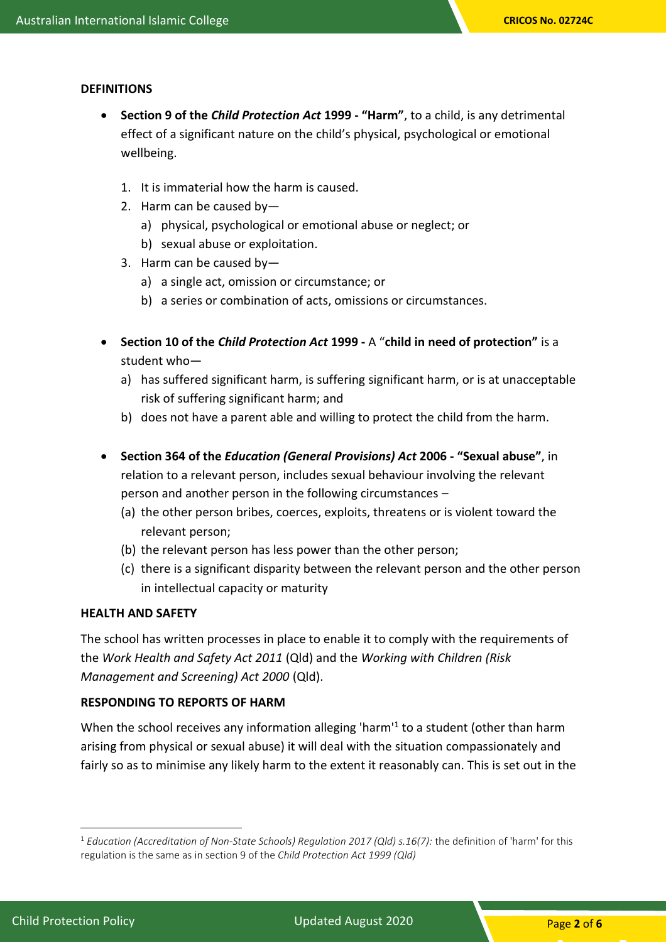## **DEFINITIONS**

- **Section 9 of the** *Child Protection Act* **1999 - "Harm"**, to a child, is any detrimental effect of a significant nature on the child's physical, psychological or emotional wellbeing.
	- 1. It is immaterial how the harm is caused.
	- 2. Harm can be caused by
		- a) physical, psychological or emotional abuse or neglect; or
		- b) sexual abuse or exploitation.
	- 3. Harm can be caused by
		- a) a single act, omission or circumstance; or
		- b) a series or combination of acts, omissions or circumstances.
- **Section 10 of the** *Child Protection Act* **1999 -** A "**child in need of protection"** is a student who
	- a) has suffered significant harm, is suffering significant harm, or is at unacceptable risk of suffering significant harm; and
	- b) does not have a parent able and willing to protect the child from the harm.
- **Section 364 of the** *Education (General Provisions) Act* **2006 - "Sexual abuse"**, in relation to a relevant person, includes sexual behaviour involving the relevant person and another person in the following circumstances –
	- (a) the other person bribes, coerces, exploits, threatens or is violent toward the relevant person;
	- (b) the relevant person has less power than the other person;
	- (c) there is a significant disparity between the relevant person and the other person in intellectual capacity or maturity

#### **HEALTH AND SAFETY**

The school has written processes in place to enable it to comply with the requirements of the *Work Health and Safety Act 2011* (Qld) and the *Working with Children (Risk Management and Screening) Act 2000* (Qld).

## **RESPONDING TO REPORTS OF HARM**

When the school receives any information alleging 'harm'<sup>1</sup> to a student (other than harm arising from physical or sexual abuse) it will deal with the situation compassionately and fairly so as to minimise any likely harm to the extent it reasonably can. This is set out in the

<sup>1</sup> *Education (Accreditation of Non-State Schools) Regulation 2017 (Qld) s.16(7):* the definition of 'harm' for this regulation is the same as in section 9 of the *Child Protection Act 1999 (Qld)*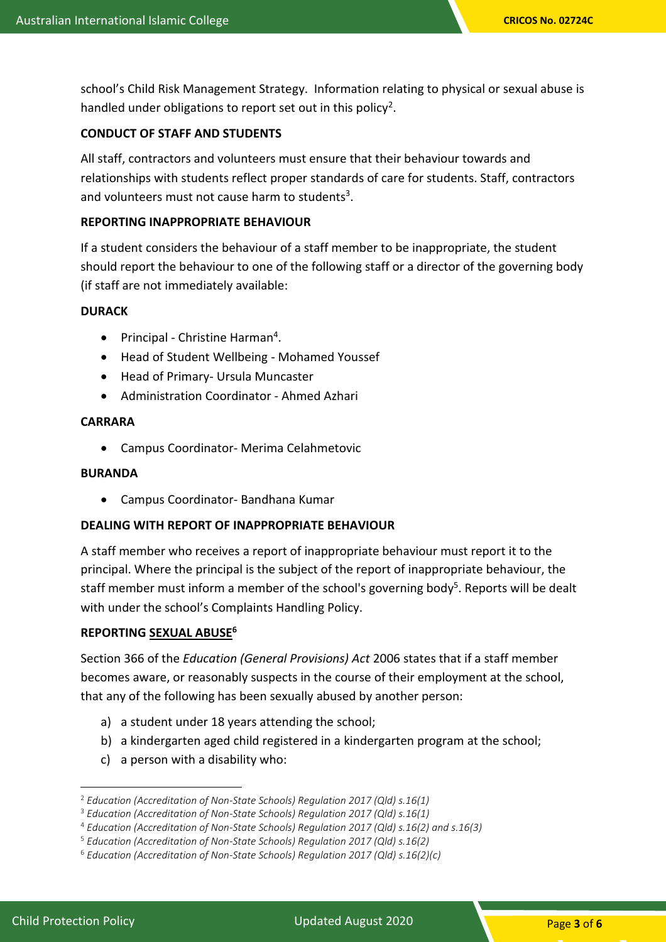school's Child Risk Management Strategy. Information relating to physical or sexual abuse is handled under obligations to report set out in this policy<sup>2</sup>.

# **CONDUCT OF STAFF AND STUDENTS**

All staff, contractors and volunteers must ensure that their behaviour towards and relationships with students reflect proper standards of care for students. Staff, contractors and volunteers must not cause harm to students<sup>3</sup>.

# **REPORTING INAPPROPRIATE BEHAVIOUR**

If a student considers the behaviour of a staff member to be inappropriate, the student should report the behaviour to one of the following staff or a director of the governing body (if staff are not immediately available:

## **DURACK**

- Principal Christine Harman<sup>4</sup>.
- Head of Student Wellbeing Mohamed Youssef
- Head of Primary- Ursula Muncaster
- Administration Coordinator Ahmed Azhari

# **CARRARA**

• Campus Coordinator- Merima Celahmetovic

# **BURANDA**

• Campus Coordinator- Bandhana Kumar

# **DEALING WITH REPORT OF INAPPROPRIATE BEHAVIOUR**

A staff member who receives a report of inappropriate behaviour must report it to the principal. Where the principal is the subject of the report of inappropriate behaviour, the staff member must inform a member of the school's governing body<sup>5</sup>. Reports will be dealt with under the school's Complaints Handling Policy.

# **REPORTING SEXUAL ABUSE<sup>6</sup>**

Section 366 of the *Education (General Provisions) Act* 2006 states that if a staff member becomes aware, or reasonably suspects in the course of their employment at the school, that any of the following has been sexually abused by another person:

- a) a student under 18 years attending the school;
- b) a kindergarten aged child registered in a kindergarten program at the school;
- c) a person with a disability who:

<sup>2</sup> *Education (Accreditation of Non-State Schools) Regulation 2017 (Qld) s.16(1)*

<sup>3</sup> *Education (Accreditation of Non-State Schools) Regulation 2017 (Qld) s.16(1)*

<sup>4</sup> *Education (Accreditation of Non-State Schools) Regulation 2017 (Qld) s.16(2) and s.16(3)*

<sup>5</sup> *Education (Accreditation of Non-State Schools) Regulation 2017 (Qld) s.16(2)*

<sup>6</sup> *Education (Accreditation of Non-State Schools) Regulation 2017 (Qld) s.16(2)(c)*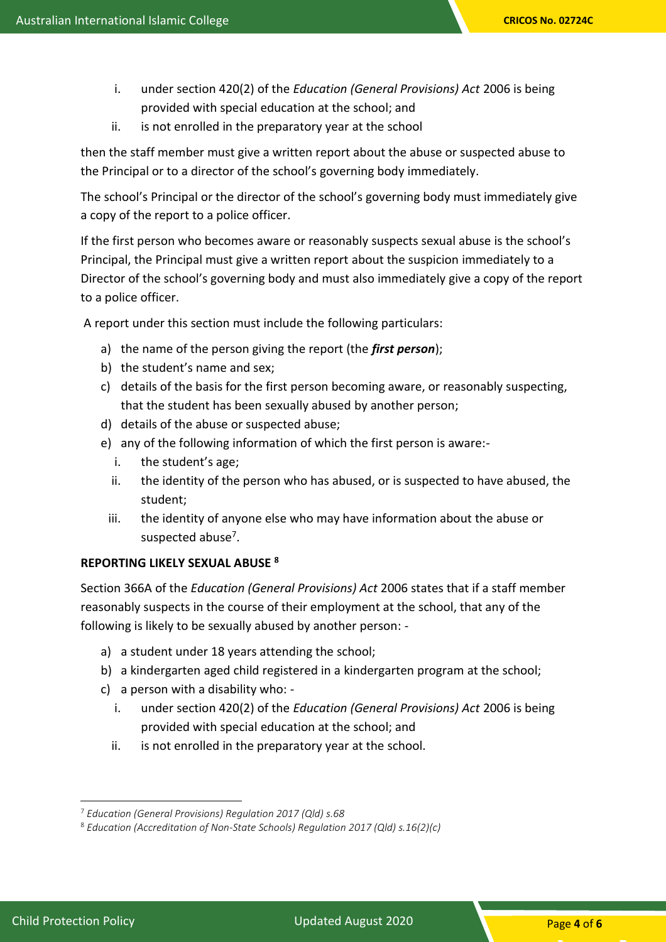- i. under section 420(2) of the *Education (General Provisions) Act* 2006 is being provided with special education at the school; and
- ii. is not enrolled in the preparatory year at the school

then the staff member must give a written report about the abuse or suspected abuse to the Principal or to a director of the school's governing body immediately.

The school's Principal or the director of the school's governing body must immediately give a copy of the report to a police officer.

If the first person who becomes aware or reasonably suspects sexual abuse is the school's Principal, the Principal must give a written report about the suspicion immediately to a Director of the school's governing body and must also immediately give a copy of the report to a police officer.

A report under this section must include the following particulars:

- a) the name of the person giving the report (the *first person*);
- b) the student's name and sex;
- c) details of the basis for the first person becoming aware, or reasonably suspecting, that the student has been sexually abused by another person;
- d) details of the abuse or suspected abuse;
- e) any of the following information of which the first person is aware:
	- i. the student's age;
	- ii. the identity of the person who has abused, or is suspected to have abused, the student;
	- iii. the identity of anyone else who may have information about the abuse or suspected abuse<sup>7</sup>.

# **REPORTING LIKELY SEXUAL ABUSE <sup>8</sup>**

Section 366A of the *Education (General Provisions) Act* 2006 states that if a staff member reasonably suspects in the course of their employment at the school, that any of the following is likely to be sexually abused by another person: -

- a) a student under 18 years attending the school;
- b) a kindergarten aged child registered in a kindergarten program at the school;
- c) a person with a disability who:
	- i. under section 420(2) of the *Education (General Provisions) Act* 2006 is being provided with special education at the school; and
	- ii. is not enrolled in the preparatory year at the school.

<sup>7</sup> *Education (General Provisions) Regulation 2017 (Qld) s.68*

<sup>8</sup> *Education (Accreditation of Non-State Schools) Regulation 2017 (Qld) s.16(2)(c)*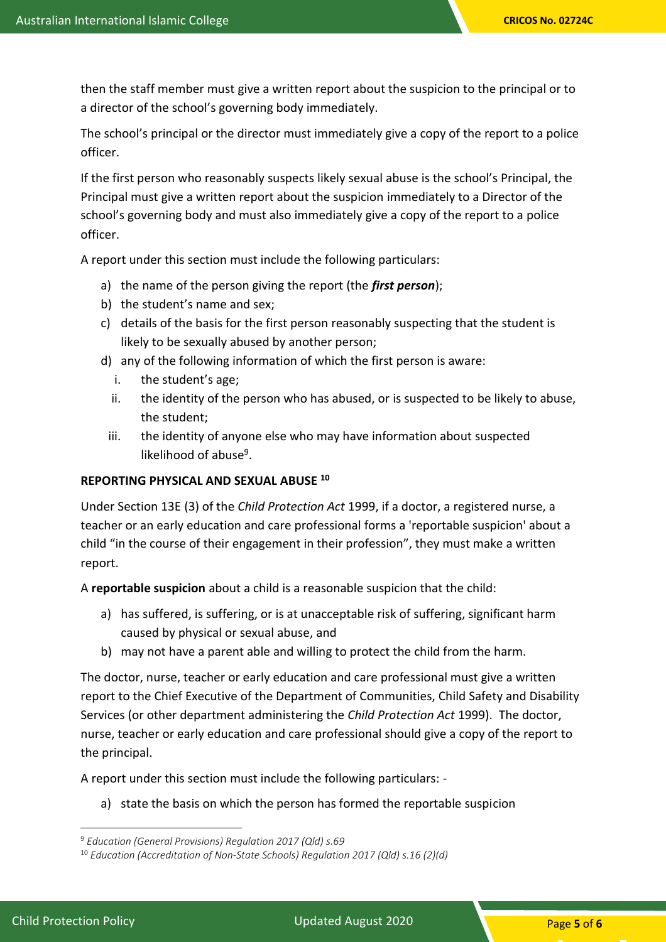then the staff member must give a written report about the suspicion to the principal or to a director of the school's governing body immediately.

The school's principal or the director must immediately give a copy of the report to a police officer.

If the first person who reasonably suspects likely sexual abuse is the school's Principal, the Principal must give a written report about the suspicion immediately to a Director of the school's governing body and must also immediately give a copy of the report to a police officer.

A report under this section must include the following particulars:

- a) the name of the person giving the report (the *first person*);
- b) the student's name and sex;
- c) details of the basis for the first person reasonably suspecting that the student is likely to be sexually abused by another person;
- d) any of the following information of which the first person is aware:
	- i. the student's age;
	- ii. the identity of the person who has abused, or is suspected to be likely to abuse, the student;
	- iii. the identity of anyone else who may have information about suspected likelihood of abuse<sup>9</sup>.

## **REPORTING PHYSICAL AND SEXUAL ABUSE <sup>10</sup>**

Under Section 13E (3) of the *Child Protection Act* 1999, if a doctor, a registered nurse, a teacher or an early education and care professional forms a 'reportable suspicion' about a child "in the course of their engagement in their profession", they must make a written report.

A **reportable suspicion** about a child is a reasonable suspicion that the child:

- a) has suffered, is suffering, or is at unacceptable risk of suffering, significant harm caused by physical or sexual abuse, and
- b) may not have a parent able and willing to protect the child from the harm.

The doctor, nurse, teacher or early education and care professional must give a written report to the Chief Executive of the Department of Communities, Child Safety and Disability Services (or other department administering the *Child Protection Act* 1999). The doctor, nurse, teacher or early education and care professional should give a copy of the report to the principal.

A report under this section must include the following particulars: -

a) state the basis on which the person has formed the reportable suspicion

<sup>9</sup> *Education (General Provisions) Regulation 2017 (Qld) s.69*

<sup>10</sup> *Education (Accreditation of Non-State Schools) Regulation 2017 (Qld) s.16 (2)(d)*